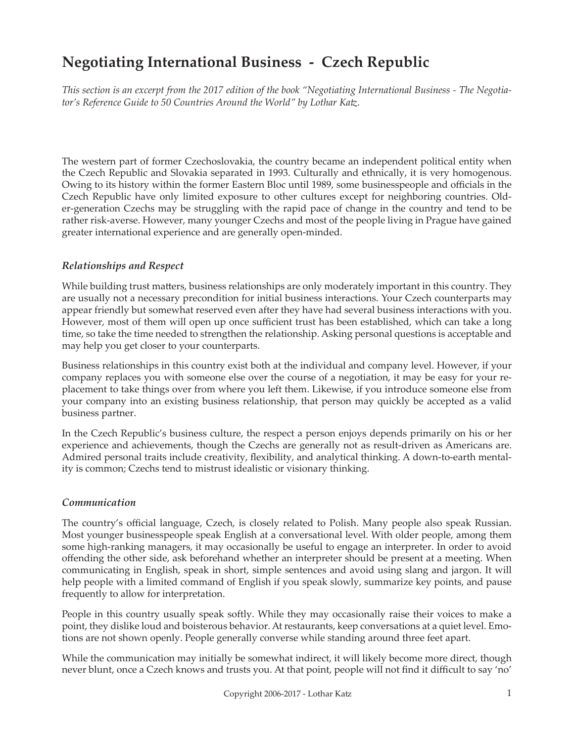# **Negotiating International Business - Czech Republic**

*This section is an excerpt from the 2017 edition of the book "Negotiating International Business - The Negotiator's Reference Guide to 50 Countries Around the World" by Lothar Katz.*

The western part of former Czechoslovakia, the country became an independent political entity when the Czech Republic and Slovakia separated in 1993. Culturally and ethnically, it is very homogenous. Owing to its history within the former Eastern Bloc until 1989, some businesspeople and officials in the Czech Republic have only limited exposure to other cultures except for neighboring countries. Older-generation Czechs may be struggling with the rapid pace of change in the country and tend to be rather risk-averse. However, many younger Czechs and most of the people living in Prague have gained greater international experience and are generally open-minded.

## *Relationships and Respect*

While building trust matters, business relationships are only moderately important in this country. They are usually not a necessary precondition for initial business interactions. Your Czech counterparts may appear friendly but somewhat reserved even after they have had several business interactions with you. However, most of them will open up once sufficient trust has been established, which can take a long time, so take the time needed to strengthen the relationship. Asking personal questions is acceptable and may help you get closer to your counterparts.

Business relationships in this country exist both at the individual and company level. However, if your company replaces you with someone else over the course of a negotiation, it may be easy for your replacement to take things over from where you left them. Likewise, if you introduce someone else from your company into an existing business relationship, that person may quickly be accepted as a valid business partner.

In the Czech Republic's business culture, the respect a person enjoys depends primarily on his or her experience and achievements, though the Czechs are generally not as result-driven as Americans are. Admired personal traits include creativity, flexibility, and analytical thinking. A down-to-earth mentality is common; Czechs tend to mistrust idealistic or visionary thinking.

## *Communication*

The country's official language, Czech, is closely related to Polish. Many people also speak Russian. Most younger businesspeople speak English at a conversational level. With older people, among them some high-ranking managers, it may occasionally be useful to engage an interpreter. In order to avoid offending the other side, ask beforehand whether an interpreter should be present at a meeting. When communicating in English, speak in short, simple sentences and avoid using slang and jargon. It will help people with a limited command of English if you speak slowly, summarize key points, and pause frequently to allow for interpretation.

People in this country usually speak softly. While they may occasionally raise their voices to make a point, they dislike loud and boisterous behavior. At restaurants, keep conversations at a quiet level. Emotions are not shown openly. People generally converse while standing around three feet apart.

While the communication may initially be somewhat indirect, it will likely become more direct, though never blunt, once a Czech knows and trusts you. At that point, people will not find it difficult to say 'no'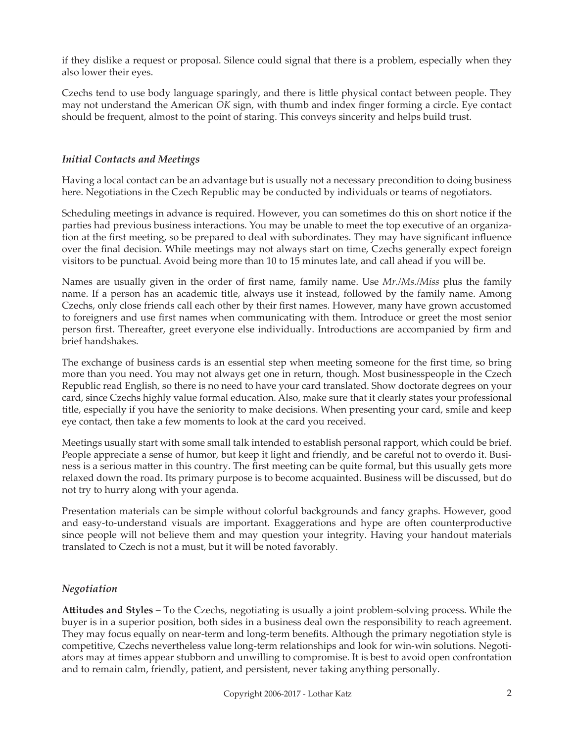if they dislike a request or proposal. Silence could signal that there is a problem, especially when they also lower their eyes.

Czechs tend to use body language sparingly, and there is little physical contact between people. They may not understand the American *OK* sign, with thumb and index finger forming a circle. Eye contact should be frequent, almost to the point of staring. This conveys sincerity and helps build trust.

## *Initial Contacts and Meetings*

Having a local contact can be an advantage but is usually not a necessary precondition to doing business here. Negotiations in the Czech Republic may be conducted by individuals or teams of negotiators.

Scheduling meetings in advance is required. However, you can sometimes do this on short notice if the parties had previous business interactions. You may be unable to meet the top executive of an organization at the first meeting, so be prepared to deal with subordinates. They may have significant influence over the final decision. While meetings may not always start on time, Czechs generally expect foreign visitors to be punctual. Avoid being more than 10 to 15 minutes late, and call ahead if you will be.

Names are usually given in the order of first name, family name. Use *Mr./Ms./Miss* plus the family name. If a person has an academic title, always use it instead, followed by the family name. Among Czechs, only close friends call each other by their first names. However, many have grown accustomed to foreigners and use first names when communicating with them. Introduce or greet the most senior person first. Thereafter, greet everyone else individually. Introductions are accompanied by firm and brief handshakes.

The exchange of business cards is an essential step when meeting someone for the first time, so bring more than you need. You may not always get one in return, though. Most businesspeople in the Czech Republic read English, so there is no need to have your card translated. Show doctorate degrees on your card, since Czechs highly value formal education. Also, make sure that it clearly states your professional title, especially if you have the seniority to make decisions. When presenting your card, smile and keep eye contact, then take a few moments to look at the card you received.

Meetings usually start with some small talk intended to establish personal rapport, which could be brief. People appreciate a sense of humor, but keep it light and friendly, and be careful not to overdo it. Business is a serious matter in this country. The first meeting can be quite formal, but this usually gets more relaxed down the road. Its primary purpose is to become acquainted. Business will be discussed, but do not try to hurry along with your agenda.

Presentation materials can be simple without colorful backgrounds and fancy graphs. However, good and easy-to-understand visuals are important. Exaggerations and hype are often counterproductive since people will not believe them and may question your integrity. Having your handout materials translated to Czech is not a must, but it will be noted favorably.

## *Negotiation*

**Attitudes and Styles –** To the Czechs, negotiating is usually a joint problem-solving process. While the buyer is in a superior position, both sides in a business deal own the responsibility to reach agreement. They may focus equally on near-term and long-term benefits. Although the primary negotiation style is competitive, Czechs nevertheless value long-term relationships and look for win-win solutions. Negotiators may at times appear stubborn and unwilling to compromise. It is best to avoid open confrontation and to remain calm, friendly, patient, and persistent, never taking anything personally.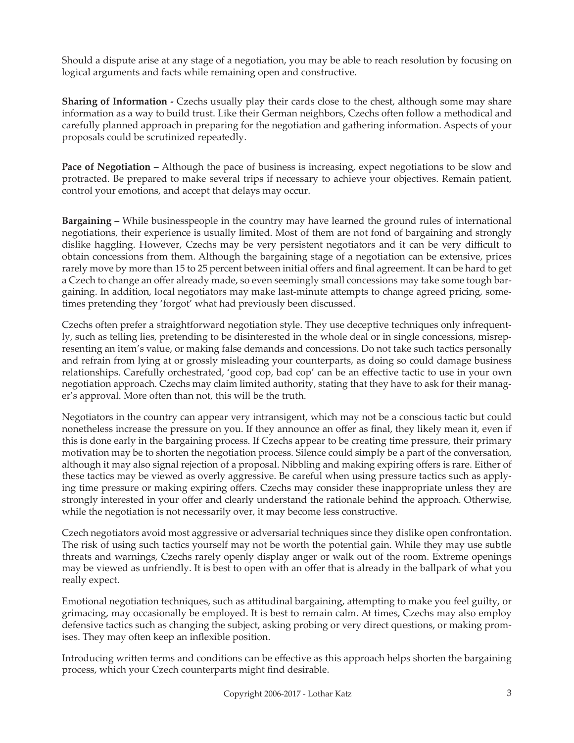Should a dispute arise at any stage of a negotiation, you may be able to reach resolution by focusing on logical arguments and facts while remaining open and constructive.

**Sharing of Information -** Czechs usually play their cards close to the chest, although some may share information as a way to build trust. Like their German neighbors, Czechs often follow a methodical and carefully planned approach in preparing for the negotiation and gathering information. Aspects of your proposals could be scrutinized repeatedly.

**Pace of Negotiation –** Although the pace of business is increasing, expect negotiations to be slow and protracted. Be prepared to make several trips if necessary to achieve your objectives. Remain patient, control your emotions, and accept that delays may occur.

**Bargaining –** While businesspeople in the country may have learned the ground rules of international negotiations, their experience is usually limited. Most of them are not fond of bargaining and strongly dislike haggling. However, Czechs may be very persistent negotiators and it can be very difficult to obtain concessions from them. Although the bargaining stage of a negotiation can be extensive, prices rarely move by more than 15 to 25 percent between initial offers and final agreement. It can be hard to get a Czech to change an offer already made, so even seemingly small concessions may take some tough bargaining. In addition, local negotiators may make last-minute attempts to change agreed pricing, sometimes pretending they 'forgot' what had previously been discussed.

Czechs often prefer a straightforward negotiation style. They use deceptive techniques only infrequently, such as telling lies, pretending to be disinterested in the whole deal or in single concessions, misrepresenting an item's value, or making false demands and concessions. Do not take such tactics personally and refrain from lying at or grossly misleading your counterparts, as doing so could damage business relationships. Carefully orchestrated, 'good cop, bad cop' can be an effective tactic to use in your own negotiation approach. Czechs may claim limited authority, stating that they have to ask for their manager's approval. More often than not, this will be the truth.

Negotiators in the country can appear very intransigent, which may not be a conscious tactic but could nonetheless increase the pressure on you. If they announce an offer as final, they likely mean it, even if this is done early in the bargaining process. If Czechs appear to be creating time pressure, their primary motivation may be to shorten the negotiation process. Silence could simply be a part of the conversation, although it may also signal rejection of a proposal. Nibbling and making expiring offers is rare. Either of these tactics may be viewed as overly aggressive. Be careful when using pressure tactics such as applying time pressure or making expiring offers. Czechs may consider these inappropriate unless they are strongly interested in your offer and clearly understand the rationale behind the approach. Otherwise, while the negotiation is not necessarily over, it may become less constructive.

Czech negotiators avoid most aggressive or adversarial techniques since they dislike open confrontation. The risk of using such tactics yourself may not be worth the potential gain. While they may use subtle threats and warnings, Czechs rarely openly display anger or walk out of the room. Extreme openings may be viewed as unfriendly. It is best to open with an offer that is already in the ballpark of what you really expect.

Emotional negotiation techniques, such as attitudinal bargaining, attempting to make you feel guilty, or grimacing, may occasionally be employed. It is best to remain calm. At times, Czechs may also employ defensive tactics such as changing the subject, asking probing or very direct questions, or making promises. They may often keep an inflexible position.

Introducing written terms and conditions can be effective as this approach helps shorten the bargaining process, which your Czech counterparts might find desirable.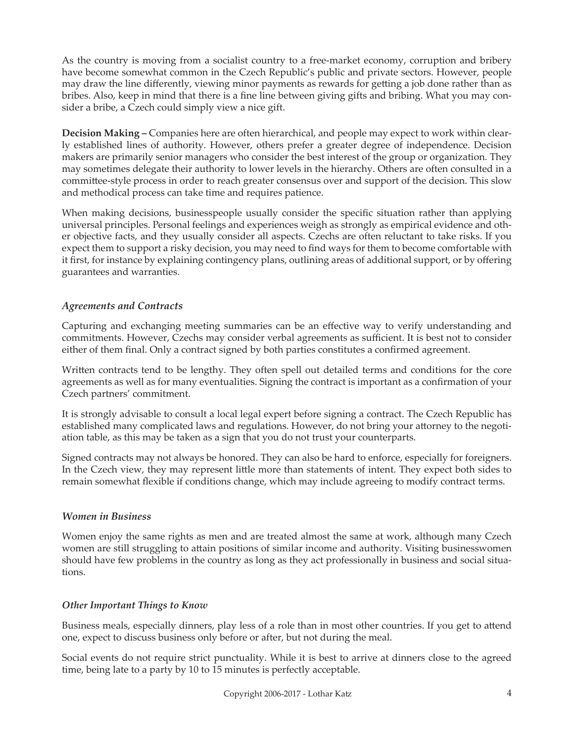As the country is moving from a socialist country to a free-market economy, corruption and bribery have become somewhat common in the Czech Republic's public and private sectors. However, people may draw the line differently, viewing minor payments as rewards for getting a job done rather than as bribes. Also, keep in mind that there is a fine line between giving gifts and bribing. What you may consider a bribe, a Czech could simply view a nice gift.

**Decision Making –** Companies here are often hierarchical, and people may expect to work within clearly established lines of authority. However, others prefer a greater degree of independence. Decision makers are primarily senior managers who consider the best interest of the group or organization. They may sometimes delegate their authority to lower levels in the hierarchy. Others are often consulted in a committee-style process in order to reach greater consensus over and support of the decision. This slow and methodical process can take time and requires patience.

When making decisions, businesspeople usually consider the specific situation rather than applying universal principles. Personal feelings and experiences weigh as strongly as empirical evidence and other objective facts, and they usually consider all aspects. Czechs are often reluctant to take risks. If you expect them to support a risky decision, you may need to find ways for them to become comfortable with it first, for instance by explaining contingency plans, outlining areas of additional support, or by offering guarantees and warranties.

## *Agreements and Contracts*

Capturing and exchanging meeting summaries can be an effective way to verify understanding and commitments. However, Czechs may consider verbal agreements as sufficient. It is best not to consider either of them final. Only a contract signed by both parties constitutes a confirmed agreement.

Written contracts tend to be lengthy. They often spell out detailed terms and conditions for the core agreements as well as for many eventualities. Signing the contract is important as a confirmation of your Czech partners' commitment.

It is strongly advisable to consult a local legal expert before signing a contract. The Czech Republic has established many complicated laws and regulations. However, do not bring your attorney to the negotiation table, as this may be taken as a sign that you do not trust your counterparts.

Signed contracts may not always be honored. They can also be hard to enforce, especially for foreigners. In the Czech view, they may represent little more than statements of intent. They expect both sides to remain somewhat flexible if conditions change, which may include agreeing to modify contract terms.

## *Women in Business*

Women enjoy the same rights as men and are treated almost the same at work, although many Czech women are still struggling to attain positions of similar income and authority. Visiting businesswomen should have few problems in the country as long as they act professionally in business and social situations.

## *Other Important Things to Know*

Business meals, especially dinners, play less of a role than in most other countries. If you get to attend one, expect to discuss business only before or after, but not during the meal.

Social events do not require strict punctuality. While it is best to arrive at dinners close to the agreed time, being late to a party by 10 to 15 minutes is perfectly acceptable.